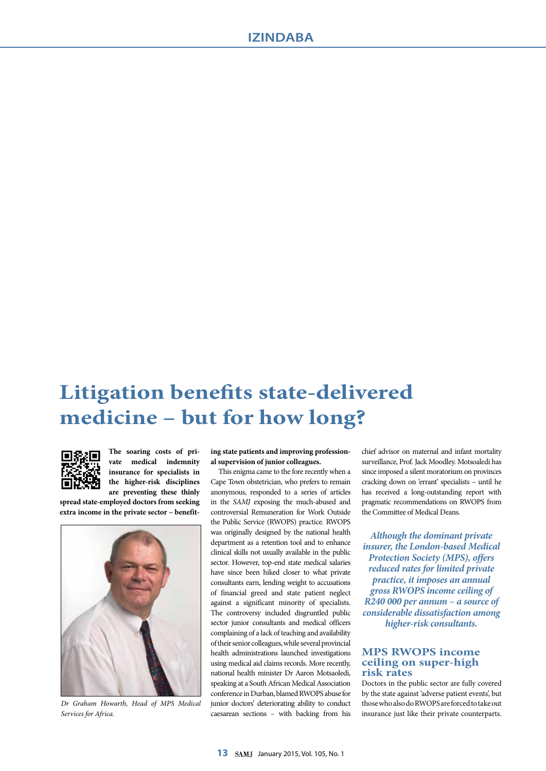## **Litigation benefits state-delivered medicine – but for how long?**



**The soaring costs of private medical indemnity insurance for specialists in the higher-risk disciplines are preventing these thinly** 

**spread state-employed doctors from seeking extra income in the private sector – benefit-**



*Dr Graham Howarth, Head of MPS Medical Services for Africa.*

**ing state patients and improving professional supervision of junior colleagues.**

This enigma came to the fore recently when a Cape Town obstetrician, who prefers to remain anonymous, responded to a series of articles in the *SAMJ* exposing the much-abused and controversial Remuneration for Work Outside the Public Service (RWOPS) practice. RWOPS was originally designed by the national health department as a retention tool and to enhance clinical skills not usually available in the public sector. However, top-end state medical salaries have since been hiked closer to what private consultants earn, lending weight to accusations of financial greed and state patient neglect against a significant minority of specialists. The controversy included disgruntled public sector junior consultants and medical officers complaining of a lack of teaching and availability of their senior colleagues, while several provincial health administrations launched investigations using medical aid claims records. More recently, national health minister Dr Aaron Motsaoledi, speaking at a South African Medical Association conference in Durban, blamed RWOPS abuse for junior doctors' deteriorating ability to conduct caesarean sections – with backing from his

chief advisor on maternal and infant mortality surveillance, Prof. Jack Moodley. Motsoaledi has since imposed a silent moratorium on provinces cracking down on 'errant' specialists – until he has received a long-outstanding report with pragmatic recommendations on RWOPS from the Committee of Medical Deans.

*Although the dominant private insurer, the London-based Medical Protection Society (MPS), offers reduced rates for limited private practice, it imposes an annual gross RWOPS income ceiling of R240 000 per annum – a source of considerable dissatisfaction among higher-risk consultants.* 

## **MPS RWOPS income ceiling on super-high risk rates**

Doctors in the public sector are fully covered by the state against 'adverse patient events', but those who also do RWOPS are forced to take out insurance just like their private counterparts.